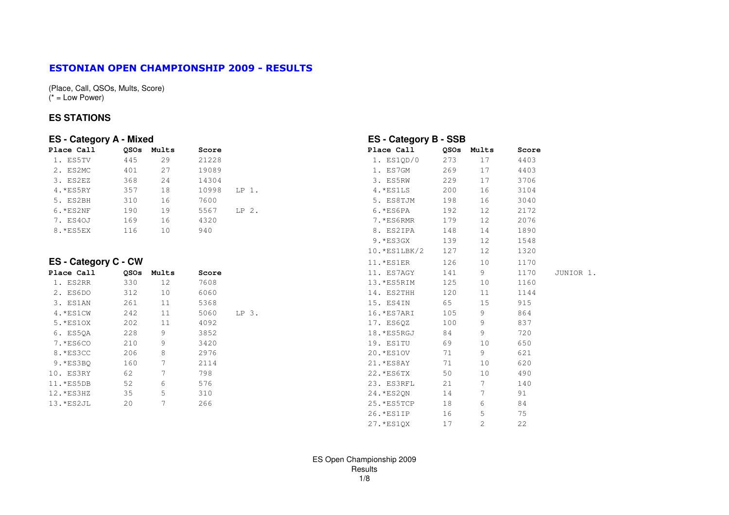#### ESTONIAN OPEN CHAMPIONSHIP 2009 - RESULTS

(Place, Call, QSOs, Mults, Score) $(* = Low Power)$ 

#### **ES STATIONS**

| <b>ES</b> - Category A - Mixed |            |                 |       |         | <b>ES - Category B - SSB</b> |             |       |       |           |
|--------------------------------|------------|-----------------|-------|---------|------------------------------|-------------|-------|-------|-----------|
| Place Call                     | OSOs Mults |                 | Score |         | Place Call                   | <b>OSOs</b> | Mults | Score |           |
| 1. ES5TV                       | 445        | 29              | 21228 |         | 1. ES1QD/0                   | 273         | 17    | 4403  |           |
| 2. ES2MC                       | 401        | 27              | 19089 |         | 1. ES7GM                     | 269         | 17    | 4403  |           |
| 3. ES2EZ                       | 368        | 24              | 14304 |         | 3. ES5RW                     | 229         | 17    | 3706  |           |
| $4.*ES5RY$                     | 357        | 18              | 10998 | LP 1.   | $4.*ESILS$                   | 200         | 16    | 3104  |           |
| 5. ES2BH                       | 310        | 16              | 7600  |         | 5. ES8TJM                    | 198         | 16    | 3040  |           |
| $6.*ES2NF$                     | 190        | 19              | 5567  | $LP2$ . | $6.*ES6PA$                   | 192         | 12    | 2172  |           |
| 7. ES40J                       | 169        | 16              | 4320  |         | 7.*ES6RMR                    | 179         | 12    | 2076  |           |
| 8.*ES5EX                       | 116        | 10 <sup>°</sup> | 940   |         | 8. ES2IPA                    | 148         | 14    | 1890  |           |
|                                |            |                 |       |         | $9.*ES3GX$                   | 139         | 12    | 1548  |           |
|                                |            |                 |       |         | $10.*ES1LBK/2$               | 127         | 12    | 1320  |           |
| <b>ES</b> - Category C - CW    |            |                 |       |         | 11.*ES1ER                    | 126         | 10    | 1170  |           |
| Place Call                     | QSOs       | Mults           | Score |         | 11. ES7AGY                   | 141         | 9     | 1170  | JUNIOR 1. |
| 1. ES2RR                       | 330        | 12              | 7608  |         | 13.*ES5RIM                   | 125         | 10    | 1160  |           |
| 2. ES6DO                       | 312        | 10              | 6060  |         | 14. ES2THH                   | 120         | 11    | 1144  |           |
| 3. ES1AN                       | 261        | 11              | 5368  |         | 15. ES4IN                    | 65          | 15    | 915   |           |
| 4.*ES1CW                       | 242        | 11              | 5060  | $LP3$ . | 16.*ES7ARI                   | 105         | 9     | 864   |           |
| 5. * ES10X                     | 202        | 11              | 4092  |         | 17. ES6QZ                    | 100         | 9     | 837   |           |
| 6. ES5QA                       | 228        | 9               | 3852  |         | 18.*ES5RGJ                   | 84          | 9     | 720   |           |
| 7.*ES6CO                       | 210        | 9               | 3420  |         | 19. ES1TU                    | 69          | 10    | 650   |           |
| 8.*ES3CC                       | 206        | 8               | 2976  |         | 20. * ES1OV                  | 71          | 9     | 621   |           |
| $9.*ES3BO$                     | 160        | 7               | 2114  |         | 21. * ES8AY                  | 71          | 10    | 620   |           |
| 10. ES3RY                      | 62         |                 | 798   |         | 22. * ES6TX                  | 50          | 10    | 490   |           |
| 11.*ES5DB                      | 52         | 6               | 576   |         | 23. ES3RFL                   | 21          | 7     | 140   |           |
| $12.*ES3HZ$                    | 35         | 5               | 310   |         | 24. * ES2ON                  | 14          | 7     | 91    |           |
| 13.*ES2JL                      | 20         | 7               | 266   |         | 25. *ES5TCP                  | 18          | 6     | 84    |           |
|                                |            |                 |       |         | 26. * ES1IP                  | 16          | 5     | 75    |           |

27.\*ES1QX 17 2 22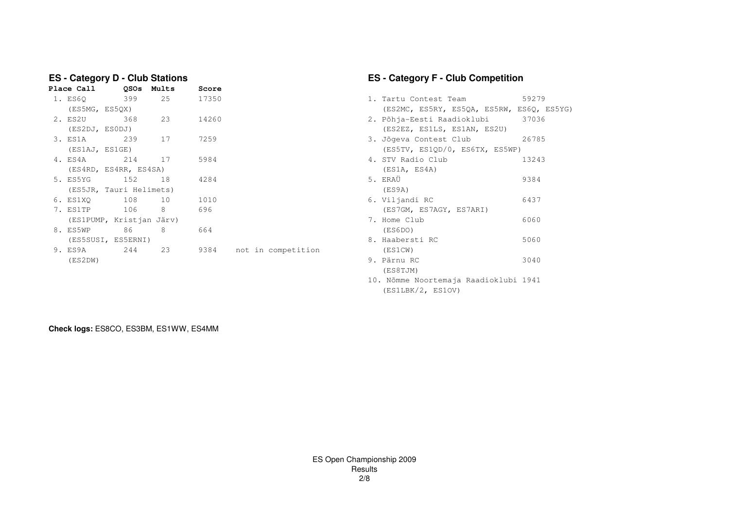| Place Call<br><b>OSOs</b><br>Mults<br>Score                          |  |
|----------------------------------------------------------------------|--|
|                                                                      |  |
| 399<br>1. ES6Q<br>25<br>17350<br>1. Tartu Contest Team<br>59279      |  |
| (ES5MG, ES5QX)<br>(ES2MC, ES5RY, ES5QA, ES5RW, ES6Q, ES5YG)          |  |
| 2. ES2U<br>368<br>23<br>14260<br>2. Põhja-Eesti Raadioklubi<br>37036 |  |
| (ES2DJ, ESODJ)<br>(ES2EZ, ES1LS, ES1AN, ES2U)                        |  |
| 239<br>3. ES1A<br>17<br>7259<br>3. Jõgeva Contest Club<br>26785      |  |
| (ES5TV, ES1QD/0, ES6TX, ES5WP)<br>(ES1AJ, ES1GE)                     |  |
| 214<br>4. STV Radio Club<br>4. ES4A<br>17<br>5984<br>13243           |  |
| (ES4RD, ES4RR, ES4SA)<br>(ES1A, ES4A)                                |  |
| 5. ERAÜ<br>152 18<br>9384<br>5. ES5YG<br>4284                        |  |
| (ES9A)<br>(ES5JR, Tauri Helimets)                                    |  |
| 108<br>6. Viljandi RC<br>6437<br>6. ES1XO<br>10<br>1010              |  |
| 8<br>106<br>696<br>7. ES1TP<br>(ES7GM, ES7AGY, ES7ARI)               |  |
| (ES1PUMP, Kristjan Järv)<br>7. Home Club<br>6060                     |  |
| 8<br>8. ES5WP<br>86<br>664<br>(ES6DO)                                |  |
| 8. Haabersti RC<br>5060<br>(ES5SUSI, ES5ERNI)                        |  |
| 244<br>23<br>9. ES9A<br>9384<br>not in competition<br>(ES1CW)        |  |
| 9. Pärnu RC<br>3040<br>(ES2DW)                                       |  |

## **ES - Category F - Club Competition**

| 25      | 17350 |                    | 1. Tartu Contest Team                    | 59279 |
|---------|-------|--------------------|------------------------------------------|-------|
|         |       |                    | (ES2MC, ES5RY, ES5QA, ES5RW, ES6Q, ES5YO |       |
| 23      | 14260 |                    | 2. Põhja-Eesti Raadioklubi 37036         |       |
|         |       |                    | (ES2EZ, ES1LS, ES1AN, ES2U)              |       |
| 17      | 7259  |                    | 3. Jõgeva Contest Club                   | 26785 |
|         |       |                    | (ES5TV, ES1QD/0, ES6TX, ES5WP)           |       |
| 17      | 5984  |                    | 4. STV Radio Club                        | 13243 |
| 4 S A ) |       |                    | (ES1A, ES4A)                             |       |
| 18      | 4284  |                    | 5. ERAÜ                                  | 9384  |
| imets)  |       |                    | (ES9A)                                   |       |
| 10      | 1010  |                    | 6. Viljandi RC                           | 6437  |
| 8       | 696   |                    | (ES7GM, ES7AGY, ES7ARI)                  |       |
| n Järv) |       |                    | 7. Home Club                             | 6060  |
| 8       | 664   |                    | (ES6DO)                                  |       |
|         |       |                    | 8. Haabersti RC                          | 5060  |
| 23      | 9384  | not in competition | (ES1CW)                                  |       |
|         |       |                    | 9. Pärnu RC                              | 3040  |
|         |       |                    | (ES8TJM)                                 |       |
|         |       |                    | 10. Nõmme Noortemaja Raadioklubi 1941    |       |

(ES1LBK/2, ES1OV)

**Check logs:** ES8CO, ES3BM, ES1WW, ES4MM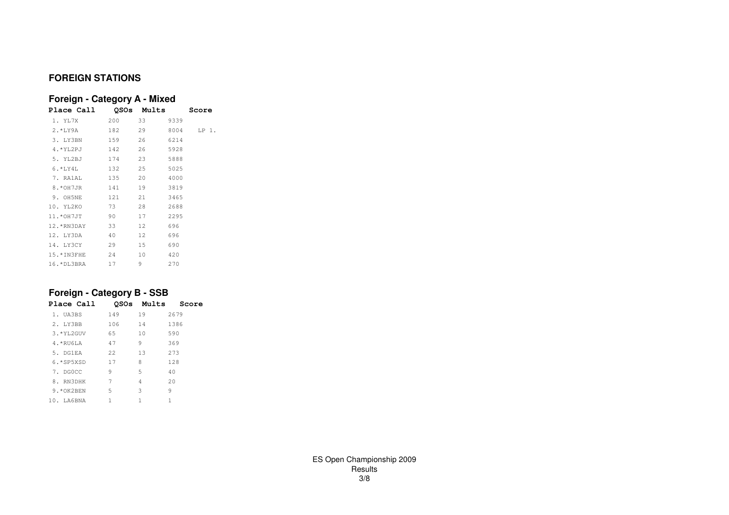## **FOREIGN STATIONS**

## **Foreign - Category A - Mixed**

| Place Call QSOs Mults     |     |        |       | Score |
|---------------------------|-----|--------|-------|-------|
| 1. YL7X 200 33 9339       |     |        |       |       |
| 2.*LY9A 182 29 8004 LP 1. |     |        |       |       |
| 3. LY3BN                  | 159 | 26     | 6214  |       |
| 4.*YL2PJ 142 26 5928      |     |        |       |       |
| 5. YL2BJ 174 23 5888      |     |        |       |       |
| 6.*LY4L 132 25 5025       |     |        |       |       |
| 7. RA1AL                  | 135 | 20     | 4000  |       |
| 8.*OH7JR 141 19 3819      |     |        |       |       |
| 9. OH5NE 121 21 3465      |     |        |       |       |
| 10. YL2KO 73 28           |     |        | 2688  |       |
| 11.*OH7JT 90 17 2295      |     |        |       |       |
| 12.*RN3DAY 33             |     |        | 696   |       |
| 12. LY3DA 40              |     | 12 696 |       |       |
| 14. LY3CY 29              |     | 15 690 |       |       |
| 15.*IN3FHE 24             |     | 10     | 420   |       |
| 16.*DL3BRA 17             |     | 9.     | -2.70 |       |

## **Foreign - Category B - SSB**

| Place Call      |      |    | <b>OSOs Mults Score</b> |
|-----------------|------|----|-------------------------|
| 1. UA3BS        | 149  | 19 | 2679                    |
| 2. LY3BB        | 106  | 14 | 1386                    |
| 3. *YL2GUV      | 65   | 10 | 590                     |
| $4.*RU6IA$      | 47   | 9  | 369                     |
| 5. DG1EA        | 2.2. | 13 | 273                     |
| $6.*SP5XSD$     | 17   | 8  | 128                     |
| 7. DGOCC        | 9    | 5  | 40                      |
| 8. RN3DHK       | 7    | 4  | 20                      |
| 9.*OK2BEN       | .5   | 3  | 9                       |
| $10.$ $I.A6BNA$ | 1.   | 1  | 1                       |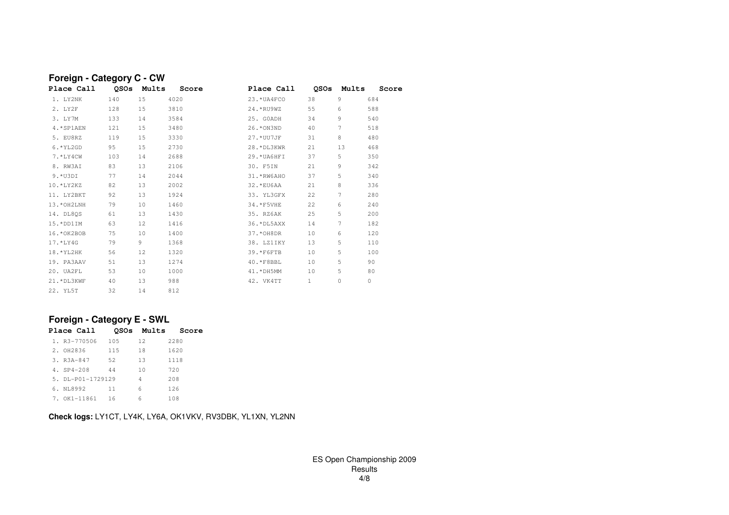#### **Foreign - Category C - CW**QSOs Mults **Place Call QSOs Mults Score Place Call QSOs Mults Score** 1. LY2NK 140 15 4020 23.\*UA4FCO 38 9 684 2. LY2F 128 15 3810 24.\*RU9WZ 55 6 588 540 3. LY7M 133 14 3584 25. G0ADH 34 9 540 4.\*SP1AEN 121 15 3480 26.\*ON3ND 40 7 518480 5. EU8RZ 119 15 3330 27.\*UU7JF 31 8 480 6.\*YL2GD 95 15 2730 28.\*DL3KWR 21 13 468 7.\*LY4CW 103 14 2688 29.\*UA6HFI 37 5 350342 8. RW3AI 83 13 2106 30. F5IN 21 9 342 340 9.\*U3DI 77 14 2044 31.\*RW6AHO 37 5 340336 10.\*LY2KZ 82 13 2002 32.\*EU6AA 21 8 336280 11. LY2BKT 92 13 1924 33. YL3GFX 22 7 280 13.\*OH2LNH 79 10 1460 34.\*F5VHE 22 6 240 14. DL8QS 61 13 1430 35. RZ6AK 25 5 200 15.\*DD1IM 63 12 1416 36.\*DL5AXX 14 7 182 16.\*OK2BOB 75 10 1400 37.\*OH8DR 10 6 120 17.\*LY4G 79 9 1368 38. LZ1IKY 13 5 110 18.\*YL2HK 56 12 1320 39.\*F6FTB 10 5 100 19. PA3AAV 51 13 1274 40.\*F8BBL 10 5 90 20. UA2FL 53 10 1000 41.\*DH5MM 10 5 80 21.\*DL3KWF 40 13 988 42. VK4TT 1 0 0 22. YL5T 32 14 812

## **Foreign - Category E - SWL**

|  | Place Call        |      |    | <b>OSOs Mults Score</b> |
|--|-------------------|------|----|-------------------------|
|  | 1. R3-770506      | 105  | 12 | 2280                    |
|  | 2. 0H2836         | 115  | 18 | 1620                    |
|  | $3. R3A-847$      | 52   | 13 | 1118                    |
|  | 4. SP4-208        | 44   | 10 | 720                     |
|  | 5. DL-P01-1729129 |      | 4  | 208                     |
|  | 6. NL8992         | 11   | 6  | 126                     |
|  | 7. OK1-11861      | - 16 | 6  | 108                     |

**Check logs:** LY1CT, LY4K, LY6A, OK1VKV, RV3DBK, YL1XN, YL2NN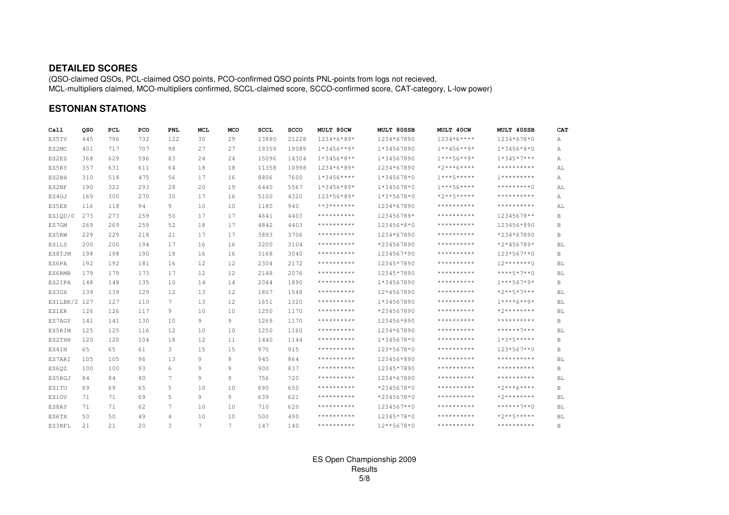#### **DETAILED SCORES**

(QSO-claimed QSOs, PCL-claimed QSO points, PCO-confirmed QSO points PNL-points from logs not recieved, MCL-multipliers claimed, MCO-multipliers confirmed, SCCL-claimed score, SCCO-confirmed score, CAT-category, L-low power)

#### **ESTONIAN STATIONS**

| Ca11         | oso | PCL | PCO | <b>PNL</b>     | MCL | MCO | <b>SCCL</b> | <b>SCCO</b> | MULT 80CW       | MULT 80SSB    | MULT 40CW           | MULT 40SSB        | CAT       |
|--------------|-----|-----|-----|----------------|-----|-----|-------------|-------------|-----------------|---------------|---------------------|-------------------|-----------|
| ES5TV        | 445 | 796 | 732 | 122            | 30  | 29  | 23880       | 21228       | 1234*6*89*      | 1234*67890    | $1234*6***$         | 1234*678*0        | А         |
| ES2MC        | 401 | 717 | 707 | 98             | 27  | 27  | 19359       | 19089       | $1*3456**9*$    | 1*34567890    | $1***456***9*$      | $1*3456*8*0$      | А         |
| ES2EZ        | 368 | 629 | 596 | 83             | 24  | 24  | 15096       | 14304       | $1*3456*8**$    | 1*34567890    | $1***56***9*$       | $1*345*7***$      | А         |
| ES5RY        | 357 | 631 | 611 | 64             | 18  | 18  | 11358       | 10998       | 1234*6*89*      | 1234*67890    | $*2***6****$        | **********        | AL        |
| ES2BH        | 310 | 518 | 475 | 56             | 17  | 16  | 8806        | 7600        | $1*3456***$     | 1*345678*0    | $1***5*****$        | $7************$   | А         |
| ES2NF        | 190 | 322 | 293 | 28             | 20  | 19  | 6440        | 5567        | $1*3456*89*$    | $1*345678*0$  | $1***56***$         | $***********$ ()  | AL        |
| ES4OJ        | 169 | 300 | 270 | 30             | 17  | 16  | 5100        | 4320        | 123*56*89*      | $1*3*5678*0$  | *2**5*****          | **********        | Α         |
| ES5EX        | 116 | 118 | 94  | 9              | 10  | 10  | 1180        | 940         | $***3*********$ | 1234*67890    | **********          | **********        | AL        |
| ES1QD/0      | 273 | 273 | 259 | 50             | 17  | 17  | 4641        | 4403        | **********      | 123456789*    | **********          | 12345678**        | В         |
| ES7GM        | 269 | 269 | 259 | 52             | 18  | 17  | 4842        | 4403        | **********      | 123456*8*0    | **********          | 123456*890        | В         |
| ES5RW        | 229 | 229 | 218 | 21             | 17  | 17  | 3893        | 3706        | **********      | 1234*67890    | **********          | $*234 * 67890$    | B         |
| <b>ES1LS</b> | 200 | 200 | 194 | 17             | 16  | 16  | 3200        | 3104        | **********      | *234567890    | $***************$   | $*2*456789*$      | BL        |
| ES8TJM       | 198 | 198 | 190 | 18             | 16  | 16  | 3168        | 3040        | **********      | 1234567*90    |                     | 123*567**0        | B         |
| ES6PA        | 192 | 192 | 181 | 16             | 12  | 12  | 2304        | 2172        | **********      | 12345*7890    | **********          | $12******0$       | <b>BL</b> |
| ES6RMR       | 179 | 179 | 173 | 17             | 12  | 12  | 2148        | 2076        | **********      | 12345*7890    | **********          | $***5*7**0$       | BL        |
| ES2IPA       | 148 | 148 | 135 | 10             | 14  | 14  | 2044        | 1890        | **********      | 1*34567890    | **********          | $1***567*9*$      | В         |
| ES3GX        | 139 | 139 | 129 | 12             | 13  | 12  | 1807        | 1548        | **********      | 12*4567890    | **********          | $*2***5*7***$     | BL        |
| ES1LBK/2 127 |     | 127 | 110 | 7              | 13  | 12  | 1651        | 1320        | **********      | 1*34567890    | **********          | $1***+6***9*$     | BL        |
| <b>ES1ER</b> | 126 | 126 | 117 | 9              | 10  | 10  | 1250        | 1170        | **********      | *234567890    | **********          | $*2*********$     | BL        |
| ES7AGY       | 141 | 141 | 130 | 10             | 9   | 9   | 1269        | 1170        | **********      | 123456*890    | **********          | **********        | В         |
| ES5RIM       | 125 | 125 | 116 | 12             | 10  | 10  | 1250        | 1160        | **********      | 1234*67890    | **********          | $******7***$      | BL        |
| ES2THH       | 120 | 120 | 104 | 18             | 12  | 11  | 1440        | 1144        | **********      | $1*345678*0$  | **********          | $1*3*5****$       | В         |
| ES4IN        | 65  | 65  | 61  | 3              | 15  | 15  | 975         | 915         | **********      | 123*5678*0    | **********          | $123*567**0$      | B         |
| ES7ARI       | 105 | 105 | 96  | 13             | 9   | 9   | 945         | 864         | **********      | 123456*890    | $***************$   | $***************$ | BL        |
| ES60Z        | 100 | 100 | 93  | 6              | 9   | 9   | 900         | 837         | **********      | 12345*7890    | **********          | **********        | B         |
| ES5RGJ       | 84  | 84  | 80  | 7              | 9   | 9   | 756         | 720         | **********      | 1234*67890    | **********          | **********        | BL        |
| ES1TU        | 69  | 69  | 65  | 5              | 10  | 10  | 690         | 650         | **********      | *2345678*0    | **********          | $*2***6****$      | B         |
| ES10V        | 71  | 71  | 69  | 5              | 9   | 9   | 639         | 621         | **********      | *2345678*0    |                     | $*2*********$     | BL        |
| ES8AY        | 71  | 71  | 62  | 7              | 10  | 10  | 710         | 620         | **********      | 1234567**0    | * * * * * * * * * * | $******7**0$      | BL        |
| ES6TX        | 50  | 50  | 49  | $\overline{4}$ | 10  | 10  | 500         | 490         | **********      | 12345*78*0    | **********          | $*2***5***$       | BL        |
| ES3RFL       | 2.1 | 2.1 | 20  | 3              | 7   | 7   | 147         | 140         | **********      | $12***5678*0$ | **********          | **********        | B.        |

## ES Open Championship 2009 Results5/8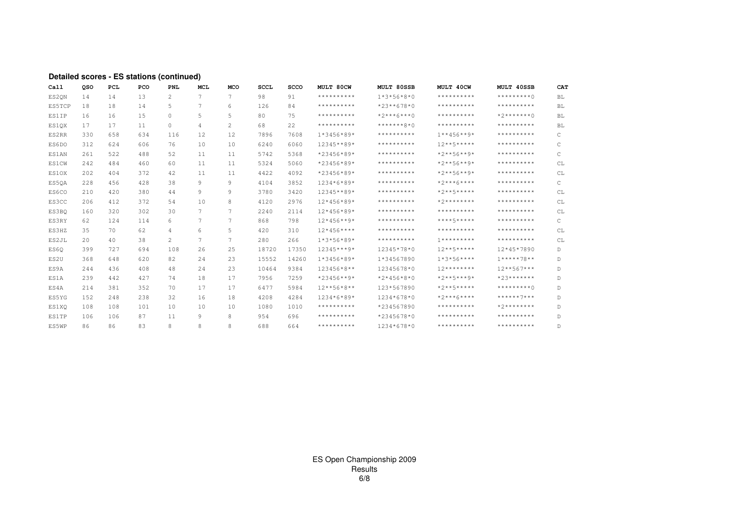| Call         | oso | <b>PCL</b> | PCO | <b>PNL</b>     | <b>MCL</b> | <b>MCO</b> | <b>SCCL</b> | <b>SCCO</b> | MULT 80CW           | <b>MULT 80SSB</b> | MULT 40CW           | MULT 40SSB    | CAT       |
|--------------|-----|------------|-----|----------------|------------|------------|-------------|-------------|---------------------|-------------------|---------------------|---------------|-----------|
| ES20N        | 14  | 14         | 13  | 2              | 7          | 7          | 98          | 91          | **********          | $1*3*56*8*0$      | **********          | *********∩    | <b>BL</b> |
| ES5TCP       | 18  | 18         | 14  | 5              | 7          | 6          | 126         | 84          | **********          | $*23**678*0$      | **********          | **********    | BL        |
| <b>ES1IP</b> | 16  | 16         | 15  | $\mathbf{0}$   | 5          | 5          | 80          | 75          | **********          | $*2***6***0$      | **********          | $*2******()$  | <b>BL</b> |
| ES10X        | 17  | 17         | 11  | $\circ$        | 4          | 2          | 68          | 22          | **********          | $******+2*0$      | **********          | **********    | <b>BL</b> |
| ES2RR        | 330 | 658        | 634 | 116            | 12         | 12         | 7896        | 7608        | $1*3456*89*$        | **********        | $1***456***9*$      | **********    | C         |
| ES6DO        | 312 | 624        | 606 | 76             | 10         | 10         | 6240        | 6060        | 12345**89*          | **********        | $12***5***$         | **********    | C         |
| ES1AN        | 261 | 522        | 488 | 52             | 11         | 11         | 5742        | 5368        | $*23456*89*$        | **********        | $*2**56**9*$        | **********    | C         |
| <b>ES1CW</b> | 242 | 484        | 460 | 60             | 11         | 11         | 5324        | 5060        | $*23456*89*$        | **********        | $*2***56***9*$      | **********    | CL        |
| ES10X        | 202 | 404        | 372 | 42             | 11         | 11         | 4422        | 4092        | $*23456*89*$        | **********        | $*2***56***9*$      | **********    | CL        |
| ES50A        | 228 | 456        | 428 | 38             | 9          | 9          | 4104        | 3852        | $1234*6*89*$        | **********        | $*2***6****$        | **********    | C         |
| ES6CO        | 210 | 420        | 380 | 44             | 9          | 9          | 3780        | 3420        | 12345**89*          | **********        | $*2***5***$         | **********    | CL        |
| ES3CC        | 206 | 412        | 372 | 54             | 10         | 8          | 4120        | 2976        | $12*456*89*$        | **********        | * 2 * * * * * * * * | **********    | CL        |
| ES3BO        | 160 | 320        | 302 | 30             | 7          | 7          | 2240        | 2114        | $12*456*89*$        | **********        | **********          | **********    | CL        |
| ES3RY        | 62  | 124        | 114 | 6              | 7          | 7          | 868         | 798         | $12*456**9*$        | **********        | ****5*****          | **********    | C         |
| ES3HZ        | 35  | 70         | 62  | $\overline{4}$ | 6          | 5          | 420         | 310         | $12*456***$         | **********        | **********          | **********    | CL        |
| ES2JL        | 20  | 40         | 38  | 2              | 7          | 7          | 280         | 266         | $1*3*56*89*$        | **********        | $7************$     | **********    | CL        |
| ES60         | 399 | 727        | 694 | 108            | 26         | 25         | 18720       | 17350       | $12345***9*$        | 12345*78*0        | $12***5*****$       | 12*45*7890    | D         |
| ES2U         | 368 | 648        | 620 | 82             | 24         | 23         | 15552       | 14260       | $1*3456*89*$        | 1*34567890        | $1*3*56***$         | $1****78**$   | D         |
| ES9A         | 244 | 436        | 408 | 48             | 24         | 23         | 10464       | 9384        | 123456*8**          | 12345678*0        | $12*********$       | $12***567***$ | D         |
| ES1A         | 239 | 442        | 427 | 74             | 18         | 17         | 7956        | 7259        | $*23456***9*$       | $*2*456*8*0$      | $*2***5***9*$       | $*23******$   | D         |
| ES4A         | 214 | 381        | 352 | 70             | 17         | 17         | 6477        | 5984        | $12***56*8**$       | 123*567890        | $*2***5****$        | $*********$ ( | D         |
| ES5YG        | 152 | 248        | 238 | 32             | 16         | 18         | 4208        | 4284        | $1234*6*89*$        | 1234*678*0        | $*2***6***$         | ******7***    | D         |
| ES1XO        | 108 | 108        | 101 | 10             | 10         | 10         | 1080        | 1010        | * * * * * * * * * * | *234567890        | **********          | $*2*********$ | D         |
| <b>ES1TP</b> | 106 | 106        | 87  | 11             | 9          | 8          | 954         | 696         | **********          | *2345678*0        | **********          | **********    | D         |
| ES5WP        | 86  | 86         | 83  | 8              | 8          | 8          | 688         | 664         | **********          | 1234*678*0        | **********          | **********    | D.        |

#### Detailed scores - ES stations (continued)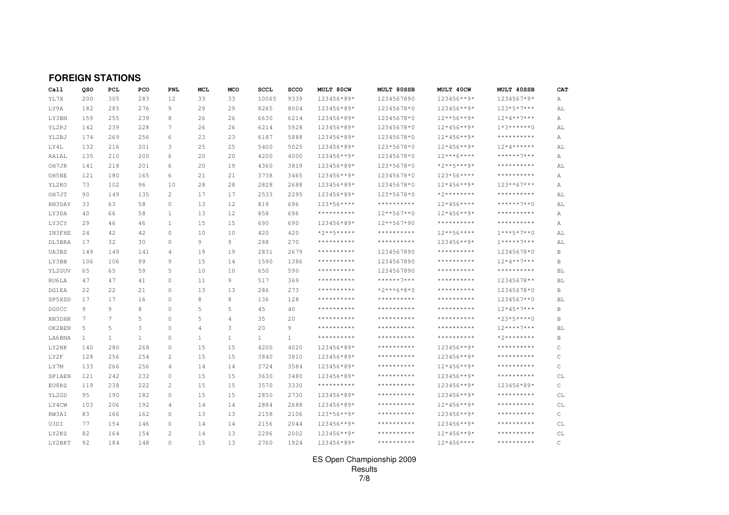|              | <b>FOREIGN STATIONS</b> |              |              |                |              |                 |              |              |                                                      |                     |                     |                   |               |
|--------------|-------------------------|--------------|--------------|----------------|--------------|-----------------|--------------|--------------|------------------------------------------------------|---------------------|---------------------|-------------------|---------------|
| Call         | oso                     | <b>PCL</b>   | PCO          | <b>PNL</b>     | <b>MCL</b>   | <b>MCO</b>      | <b>SCCL</b>  | <b>SCCO</b>  | MULT 80CW                                            | MULT 80SSB          | MULT 40CW           | MULT 40SSB        | <b>CAT</b>    |
| YL7X         | 200                     | 305          | 283          | 12             | 33           | 33              | 10065        | 9339         | 123456*89*                                           | 1234567890          | 123456**9*          | 1234567*9*        | Α             |
| LY9A         | 182                     | 285          | 276          | 9              | 29           | 29              | 8265         | 8004         | 123456*89*                                           | 12345678*0          | 123456**9*          | $123*5*7***$      | AL            |
| LY3BN        | 159                     | 255          | 239          | 8              | 26           | 26              | 6630         | 6214         | 123456*89*                                           | 12345678*0          | $12***56***9*$      | $12*4**7***$      | Α             |
| YL2PJ        | 142                     | 239          | 228          | 7              | 26           | 26              | 6214         | 5928         | 123456*89*                                           | 12345678*0          | $12*456**9*$        | $1*3*****0$       | AL            |
| YL2BJ        | 174                     | 269          | 256          | 6              | 23           | 23              | 6187         | 5888         | 123456*89*                                           | 12345678*0          | $12*456**9*$        | **********        | Α             |
| LY4L         | 132                     | 216          | 201          | 3              | 25           | 25              | 5400         | 5025         | 123456*89*                                           | 123*5678*0          | $12*456**9*$        | $12*4******$      | AL            |
| RA1AL        | 135                     | 210          | 200          | 6              | 20           | 20              | 4200         | 4000         | 123456**9*                                           | 12345678*0          | $12***6***$         | $******7***$      | Α             |
| OH7JR        | 141                     | 218          | 201          | 6              | 20           | 19              | 4360         | 3819         | 123456*89*                                           | 123*5678*0          | $*2***5***9*$       | **********        | AL            |
| OH5NE        | 121                     | 180          | 165          | 6              | 21           | 21              | 3738         | 3465         | 123456**9*                                           | 12345678*0          | 123*56****          | **********        | Α             |
| YL2KO        | 73                      | 102          | 96           | 10             | 28           | 28              | 2828         | 2688         | 123456*89*                                           | 12345678*0          | $12*456**9*$        | $123***67***$     | Α             |
| OH7JT        | 90                      | 149          | 135          | $\overline{2}$ | 17           | 17              | 2533         | 2295         | 123456*89*                                           | 123*5678*0          | $*2*********$       | **********        | AL            |
| RN3DAY       | 33                      | 63           | 58           | $\circ$        | 13           | 12              | 819          | 696          | $123*56***$                                          | **********          | $12*456***$         | $******7**0$      | AL            |
| LY3DA        | 40                      | 66           | 58           | $\mathbf{1}$   | 13           | 12              | 858          | 696          | **********                                           | 12**567**0          | $12*456**9*$        | **********        | Α             |
| LY3CY        | 29                      | 46           | 46           | $\mathbf{1}$   | 15           | 15              | 690          | 690          | 123456*89*                                           | 12**567*90          | * * * * * * * * * * | **********        | Α             |
| IN3FHE       | 24                      | 42           | 42           | $\circ$        | 10           | 10              | 420          | 420          | $*2***5****$                                         | **********          | $12***56***$        | $1***5*7**0$      | AL            |
| DL3BRA       | 17                      | 32           | 30           | $\circ$        | 9            | 9               | 288          | 270          | **********                                           | $***************$   | 123456**9*          | $1******7***$     | AL            |
| UA3BS        | 149                     | 149          | 141          | 4              | 19           | 19              | 2831         | 2679         | $***************$                                    | 1234567890          | $***************$   | 12345678*0        | В             |
| LY3BB        | 106                     | 106          | 99           | 9              | 15           | 14              | 1590         | 1386         | **********                                           | 1234567890          | **********          | $12*4**7***$      | В             |
| YL2GUV       | 65                      | 65           | 59           | 5              | 10           | 10              | 650          | 590          | **********                                           | 1234567890          | **********          | **********        | BL            |
| RU6LA        | 47                      | 47           | 41           | $\Omega$       | 11           | 9               | 517          | 369          | **********                                           | ******7***          | * * * * * * * * * * | 12345678**        | BL            |
| <b>DG1EA</b> | 22                      | 22           | 21           | $\circ$        | 13           | 13              | 286          | 273          | $***************$                                    | $*2***6*8*0$        | **********          | 12345678*0        | В             |
| SP5XSD       | 17                      | 17           | 16           | $\Omega$       | 8            | 8               | 136          | 128          | **********                                           | * * * * * * * * * * | * * * * * * * * * * | 1234567**0        | BL            |
| <b>DGOCC</b> | 9                       | 9            | 8            | $\circ$        | 5            | 5               | 45           | 40           | **********                                           | * * * * * * * * * * | * * * * * * * * * * | $12*45*7***$      | В             |
| RN3DHK       | 7                       | 7            | 5            | $\circ$        | 5            | 4               | 35           | 20           | $\star\star\star\star\star\star\star\star\star\star$ | **********          | **********          | $*23*5***0$       | В             |
| OK2BEN       | 5                       | 5            | 3            | $\circ$        | 4            | 3               | 20           | 9            | $***************$                                    | **********          | * * * * * * * * * * | $12***7***$       | <b>BL</b>     |
| LA6BNA       | $\mathbf{1}$            | $\mathbf{1}$ | $\mathbf{1}$ | $\bigcap$      | $\mathbf{1}$ | $\mathbf{1}$    | $\mathbf{1}$ | $\mathbf{1}$ | $***************$                                    | **********          | **********          | $*2*********$     | В             |
| LY2NK        | 140                     | 280          | 268          | $\circ$        | 15           | 15              | 4200         | 4020         | 123456*89*                                           | * * * * * * * * * * | 123456**9*          | $************$    | C             |
| LY2F         | 128                     | 256          | 254          | $\overline{2}$ | 15           | 15              | 3840         | 3810         | 123456*89*                                           | **********          | 123456**9*          | **********        | C             |
| LY7M         | 133                     | 266          | 256          | $\overline{4}$ | 14           | 14              | 3724         | 3584         | 123456*89*                                           | **********          | $12*456**9*$        | $***************$ | $\mathsf{C}$  |
| SP1AEN       | 121                     | 242          | 232          | $\circ$        | 15           | 15              | 3630         | 3480         | 123456*89*                                           | **********          | 123456**9*          |                   | CL            |
| EU8RZ        | 119                     | 238          | 222          | $\overline{2}$ | 15           | 15              | 3570         | 3330         | $***************$                                    | **********          | 123456**9*          | 123456*89*        | C             |
| YL2GD        | 95                      | 190          | 182          | $\mathbf{0}$   | 15           | 15              | 2850         | 2730         | 123456*89*                                           | **********          | 123456**9*          | $***************$ | CL            |
| LY4CW        | 103                     | 206          | 192          | $\overline{4}$ | 14           | 14              | 2884         | 2688         | 123456*89*                                           | $************$      | $12*456**9*$        | **********        | CL            |
| RW3AI        | 83                      | 166          | 162          | $\circ$        | 13           | 13              | 2158         | 2106         | $123*56**9*$                                         | **********          | 123456**9*          | **********        | $\mathsf{C}$  |
| U3DI         | 77                      | 154          | 146          | $\circ$        | 14           | 14              | 2156         | 2044         | 123456**9*                                           | **********          | 123456**9*          | **********        | СL            |
| LY2KZ        | 82                      | 164          | 154          | $\overline{2}$ | 14           | 13              | 2296         | 2002         | 123456**9*                                           | **********          | $12*456**9*$        |                   | CL            |
| LY2BKT       | 92                      | 184          | 148          | $\Omega$       | 1.5          | 13 <sup>°</sup> | 2760         | 1924         | 123456*89*                                           | * * * * * * * * * * | $12*456***$         | **********        | $\mathcal{C}$ |

# ES Open Championship 2009 Results 7/8

 $\,$  C